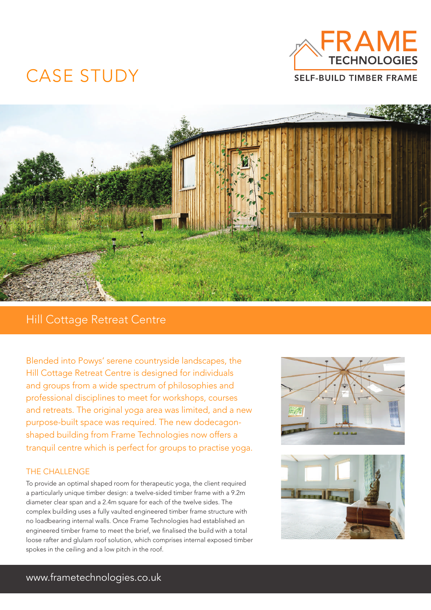

## CASE STUDY



### Hill Cottage Retreat Centre

Blended into Powys' serene countryside landscapes, the Hill Cottage Retreat Centre is designed for individuals and groups from a wide spectrum of philosophies and professional disciplines to meet for workshops, courses and retreats. The original yoga area was limited, and a new purpose-built space was required. The new dodecagonshaped building from Frame Technologies now offers a tranquil centre which is perfect for groups to practise yoga.

### THE CHALLENGE

To provide an optimal shaped room for therapeutic yoga, the client required a particularly unique timber design: a twelve-sided timber frame with a 9.2m diameter clear span and a 2.4m square for each of the twelve sides. The complex building uses a fully vaulted engineered timber frame structure with no loadbearing internal walls. Once Frame Technologies had established an engineered timber frame to meet the brief, we finalised the build with a total loose rafter and glulam roof solution, which comprises internal exposed timber spokes in the ceiling and a low pitch in the roof.